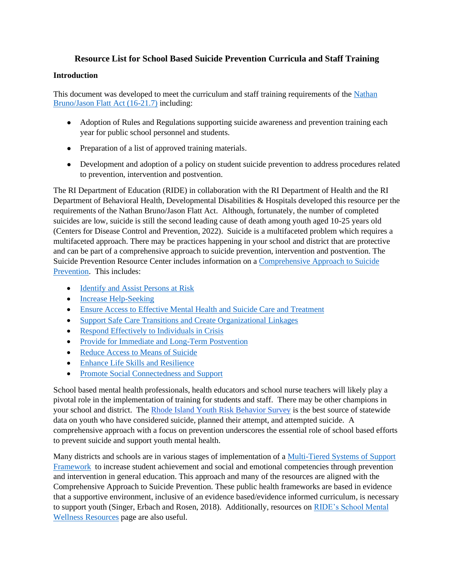## **Resource List for School Based Suicide Prevention Curricula and Staff Training**

#### **Introduction**

This document was developed to meet the curriculum and staff training requirements of the Nathan [Bruno/Jason Flatt Act \(16-21.7\)](http://webserver.rilin.state.ri.us/Statutes/TITLE16/16-21.7/INDEX.htm) including:

- Adoption of Rules and Regulations supporting suicide awareness and prevention training each year for public school personnel and students.
- Preparation of a list of approved training materials.
- Development and adoption of a policy on student suicide prevention to address procedures related to prevention, intervention and postvention.

The RI Department of Education (RIDE) in collaboration with the RI Department of Health and the RI Department of Behavioral Health, Developmental Disabilities & Hospitals developed this resource per the requirements of the Nathan Bruno/Jason Flatt Act. Although, fortunately, the number of completed suicides are low, suicide is still the second leading cause of death among youth aged 10-25 years old (Centers for Disease Control and Prevention, 2022). Suicide is a multifaceted problem which requires a multifaceted approach. There may be practices happening in your school and district that are protective and can be part of a comprehensive approach to suicide prevention, intervention and postvention. The Suicide Prevention Resource Center includes information on a [Comprehensive Approach to Suicide](https://www.sprc.org/effective-prevention/comprehensive-approach)  [Prevention.](https://www.sprc.org/effective-prevention/comprehensive-approach) This includes:

- [Identify and Assist Persons](https://www.sprc.org/comprehensive-approach/identify-assist) at Risk
- [Increase Help-Seeking](https://www.sprc.org/comprehensive-approach/help-seeking)
- [Ensure Access to Effective Mental Health and Suicide Care and Treatment](https://www.sprc.org/comprehensive-approach/effective-care)
- [Support Safe Care Transitions and Create Organizational Linkages](https://www.sprc.org/comprehensive-approach/transitions-lInkages)
- [Respond Effectively to Individuals in Crisis](https://www.sprc.org/comprehensive-approach/respond-to-crisis)
- [Provide for Immediate and Long-Term Postvention](https://www.sprc.org/comprehensive-approach/postvention)
- [Reduce Access to Means of Suicide](https://www.sprc.org/comprehensive-approach/reduce-means)
- [Enhance Life Skills and Resilience](https://www.sprc.org/comprehensive-approach/life-skills)
- [Promote Social Connectedness and Support](https://www.sprc.org/comprehensive-approach/social-connectedness)

School based mental health professionals, health educators and school nurse teachers will likely play a pivotal role in the implementation of training for students and staff. There may be other champions in your school and district. The [Rhode Island Youth Risk Behavior Survey](https://health.ri.gov/programs/detail.php?pgm_id=182) is the best source of statewide data on youth who have considered suicide, planned their attempt, and attempted suicide. A comprehensive approach with a focus on prevention underscores the essential role of school based efforts to prevent suicide and support youth mental health.

Many districts and schools are in various stages of implementation of a [Multi-Tiered Systems of Support](https://www.ride.ri.gov/InstructionAssessment/InstructionalInitiativesResources/Multi-TieredSystemofSupports(MTSS).aspx)  [Framework](https://www.ride.ri.gov/InstructionAssessment/InstructionalInitiativesResources/Multi-TieredSystemofSupports(MTSS).aspx) to increase student achievement and social and emotional competencies through prevention and intervention in general education. This approach and many of the resources are aligned with the Comprehensive Approach to Suicide Prevention. These public health frameworks are based in evidence that a supportive environment, inclusive of an evidence based/evidence informed curriculum, is necessary to support youth (Singer, Erbach and Rosen, 2018). Additionally, resources on [RIDE's School Mental](https://www.ride.ri.gov/StudentsFamilies/HealthSafety/SchoolMentalWellnessResources.aspx)  [Wellness Resources](https://www.ride.ri.gov/StudentsFamilies/HealthSafety/SchoolMentalWellnessResources.aspx) page are also useful.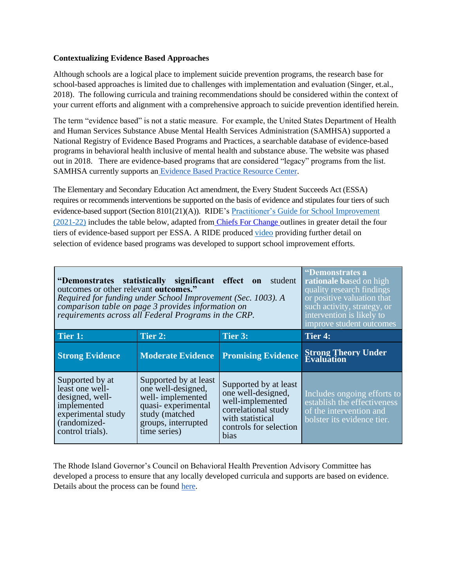#### **Contextualizing Evidence Based Approaches**

Although schools are a logical place to implement suicide prevention programs, the research base for school-based approaches is limited due to challenges with implementation and evaluation (Singer, et.al., 2018). The following curricula and training recommendations should be considered within the context of your current efforts and alignment with a comprehensive approach to suicide prevention identified herein.

The term "evidence based" is not a static measure. For example, the United States Department of Health and Human Services Substance Abuse Mental Health Services Administration (SAMHSA) supported a National Registry of Evidence Based Programs and Practices, a searchable database of evidence-based programs in behavioral health inclusive of mental health and substance abuse. The website was phased out in 2018. There are evidence-based programs that are considered "legacy" programs from the list. SAMHSA currently supports an Evidence Based [Practice Resource Center.](https://www.samhsa.gov/resource-search/ebp)

The Elementary and Secondary Education Act amendment, the Every Student Succeeds Act (ESSA) requires or recommends interventions be supported on the basis of evidence and stipulates four tiers of such evidence-based support (Section 8101(21)(A)). RIDE's Practitioner's [Guide for School Improvement](https://drive.google.com/drive/folders/1iCMY4GEfePQvvhDzMpYeQ7aRG9UJF9xY)  [\(2021-22\)](https://drive.google.com/drive/folders/1iCMY4GEfePQvvhDzMpYeQ7aRG9UJF9xY) includes the table below, adapted from [Chiefs For Change o](http://chiefsforchange.org/wp-content/uploads/2016/07/ESSA-and-Evidence-Why-It-Matters.pdf)utlines in greater detail the four tiers of evidence-based support per ESSA. A RIDE produced [video](https://drive.google.com/drive/folders/1a2R5Ic_PQgJK84LHgIWBMpa50XMuEpZ0) providing further detail on selection of evidence based programs was developed to support school improvement efforts.

| "Demonstrates statistically significant effect<br>student<br>on<br>outcomes or other relevant outcomes."<br>Required for funding under School Improvement (Sec. 1003). A<br>comparison table on page 3 provides information on<br>requirements across all Federal Programs in the CRP. |                                                                                                                                                |                                                                                                                                              | "Demonstrates a<br>rationale based on high<br>quality research findings<br>or positive valuation that<br>such activity, strategy, or<br>intervention is likely to<br>improve student outcomes |
|----------------------------------------------------------------------------------------------------------------------------------------------------------------------------------------------------------------------------------------------------------------------------------------|------------------------------------------------------------------------------------------------------------------------------------------------|----------------------------------------------------------------------------------------------------------------------------------------------|-----------------------------------------------------------------------------------------------------------------------------------------------------------------------------------------------|
| Tier 1:                                                                                                                                                                                                                                                                                | Tier 2:                                                                                                                                        | Tier 3:                                                                                                                                      | Tier 4:                                                                                                                                                                                       |
| <b>Strong Evidence</b>                                                                                                                                                                                                                                                                 | <b>Moderate Evidence</b>                                                                                                                       | <b>Promising Evidence</b>                                                                                                                    | <b>Strong Theory Under<br/>Evaluation</b>                                                                                                                                                     |
| Supported by at<br>least one well-<br>designed, well-<br>implemented<br>experimental study<br>(randomized-<br>control trials).                                                                                                                                                         | Supported by at least<br>one well-designed,<br>well-implemented<br>quasi-experimental<br>study (matched<br>groups, interrupted<br>time series) | Supported by at least<br>one well-designed.<br>well-implemented<br>correlational study<br>with statistical<br>controls for selection<br>bias | Includes ongoing efforts to<br>establish the effectiveness<br>of the intervention and<br>bolster its evidence tier.                                                                           |

The Rhode Island Governor's Council on Behavioral Health Prevention Advisory Committee has developed a process to ensure that any locally developed curricula and supports are based on evidence. Details about the process can be found [here.](https://www.riprc.org/resources/complete-application-to-be-deemed-an-evidence-based-practice/)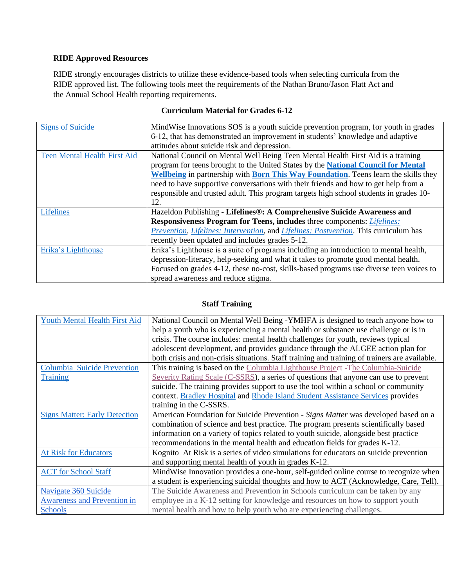## **RIDE Approved Resources**

RIDE strongly encourages districts to utilize these evidence-based tools when selecting curricula from the RIDE approved list. The following tools meet the requirements of the Nathan Bruno/Jason Flatt Act and the Annual School Health reporting requirements.

| <b>Signs of Suicide</b>             | MindWise Innovations SOS is a youth suicide prevention program, for youth in grades                |  |
|-------------------------------------|----------------------------------------------------------------------------------------------------|--|
|                                     | 6-12, that has demonstrated an improvement in students' knowledge and adaptive                     |  |
|                                     | attitudes about suicide risk and depression.                                                       |  |
| <b>Teen Mental Health First Aid</b> | National Council on Mental Well Being Teen Mental Health First Aid is a training                   |  |
|                                     | program for teens brought to the United States by the National Council for Mental                  |  |
|                                     | <b>Wellbeing</b> in partnership with <b>Born This Way Foundation</b> . Teens learn the skills they |  |
|                                     | need to have supportive conversations with their friends and how to get help from a                |  |
|                                     | responsible and trusted adult. This program targets high school students in grades 10-             |  |
|                                     | 12.                                                                                                |  |
| <b>Lifelines</b>                    | Hazeldon Publishing - Lifelines®: A Comprehensive Suicide Awareness and                            |  |
|                                     | Responsiveness Program for Teens, includes three components: Lifelines:                            |  |
|                                     | Prevention, Lifelines: Intervention, and Lifelines: Postvention. This curriculum has               |  |
|                                     | recently been updated and includes grades 5-12.                                                    |  |
| Erika's Lighthouse                  | Erika's Lighthouse is a suite of programs including an introduction to mental health,              |  |
|                                     | depression-literacy, help-seeking and what it takes to promote good mental health.                 |  |
|                                     | Focused on grades 4-12, these no-cost, skills-based programs use diverse teen voices to            |  |
|                                     | spread awareness and reduce stigma.                                                                |  |

### **Curriculum Material for Grades 6-12**

## **Staff Training**

| Youth Mental Health First Aid        | National Council on Mental Well Being -YMHFA is designed to teach anyone how to               |
|--------------------------------------|-----------------------------------------------------------------------------------------------|
|                                      | help a youth who is experiencing a mental health or substance use challenge or is in          |
|                                      | crisis. The course includes: mental health challenges for youth, reviews typical              |
|                                      | adolescent development, and provides guidance through the ALGEE action plan for               |
|                                      | both crisis and non-crisis situations. Staff training and training of trainers are available. |
| Columbia Suicide Prevention          | This training is based on the Columbia Lighthouse Project -The Columbia-Suicide               |
| <b>Training</b>                      | Severity Rating Scale (C-SSRS), a series of questions that anyone can use to prevent          |
|                                      | suicide. The training provides support to use the tool within a school or community           |
|                                      | context. Bradley Hospital and Rhode Island Student Assistance Services provides               |
|                                      | training in the C-SSRS.                                                                       |
| <b>Signs Matter: Early Detection</b> | American Foundation for Suicide Prevention - Signs Matter was developed based on a            |
|                                      | combination of science and best practice. The program presents scientifically based           |
|                                      | information on a variety of topics related to youth suicide, alongside best practice          |
|                                      | recommendations in the mental health and education fields for grades K-12.                    |
| <b>At Risk for Educators</b>         | Kognito At Risk is a series of video simulations for educators on suicide prevention          |
|                                      | and supporting mental health of youth in grades K-12.                                         |
| <b>ACT</b> for School Staff          | MindWise Innovation provides a one-hour, self-guided online course to recognize when          |
|                                      | a student is experiencing suicidal thoughts and how to ACT (Acknowledge, Care, Tell).         |
| Navigate 360 Suicide                 | The Suicide Awareness and Prevention in Schools curriculum can be taken by any                |
| <b>Awareness and Prevention in</b>   | employee in a K-12 setting for knowledge and resources on how to support youth                |
| <b>Schools</b>                       | mental health and how to help youth who are experiencing challenges.                          |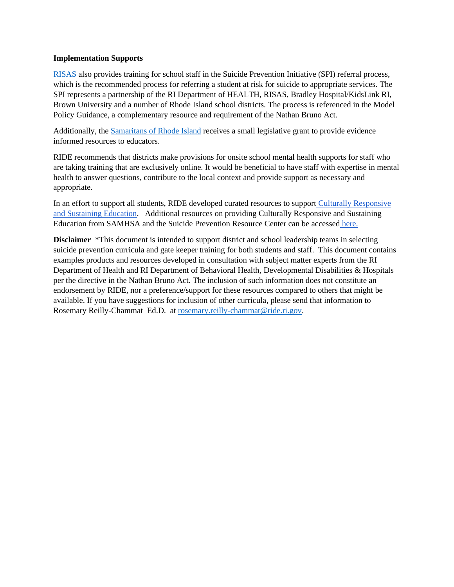#### **Implementation Supports**

[RISAS](https://risas.org/) also provides training for school staff in the Suicide Prevention Initiative (SPI) referral process, which is the recommended process for referring a student at risk for suicide to appropriate services. The SPI represents a partnership of the RI Department of HEALTH, RISAS, Bradley Hospital/KidsLink RI, Brown University and a number of Rhode Island school districts. The process is referenced in the Model Policy Guidance, a complementary resource and requirement of the Nathan Bruno Act.

Additionally, the [Samaritans of Rhode Island](http://www.samaritansri.org/) receives a small legislative grant to provide evidence informed resources to educators.

RIDE recommends that districts make provisions for onsite school mental health supports for staff who are taking training that are exclusively online. It would be beneficial to have staff with expertise in mental health to answer questions, contribute to the local context and provide support as necessary and appropriate.

In an effort to support all students, RIDE developed curated resources to support Culturally Responsive [and Sustaining Education.](https://www.ride.ri.gov/Portals/0/Uploads/Documents/Instruction-and-Assessment-World-Class-Standards/HQCM-Bundle/HQCM_ReviewTools_June2020.pdf?ver=2020-06-30-092444-087) Additional resources on providing Culturally Responsive and Sustaining Education from SAMHSA and the Suicide Prevention Resource Center can be accessed [here.](https://www.sprc.org/keys-success/culturally-competent) 

**Disclaimer** \*This document is intended to support district and school leadership teams in selecting suicide prevention curricula and gate keeper training for both students and staff. This document contains examples products and resources developed in consultation with subject matter experts from the RI Department of Health and RI Department of Behavioral Health, Developmental Disabilities & Hospitals per the directive in the Nathan Bruno Act. The inclusion of such information does not constitute an endorsement by RIDE, nor a preference/support for these resources compared to others that might be available. If you have suggestions for inclusion of other curricula, please send that information to Rosemary Reilly-Chammat Ed.D. at [rosemary.reilly-chammat@ride.ri.gov.](mailto:rosemary.reilly-chammat@ride.ri.gov)